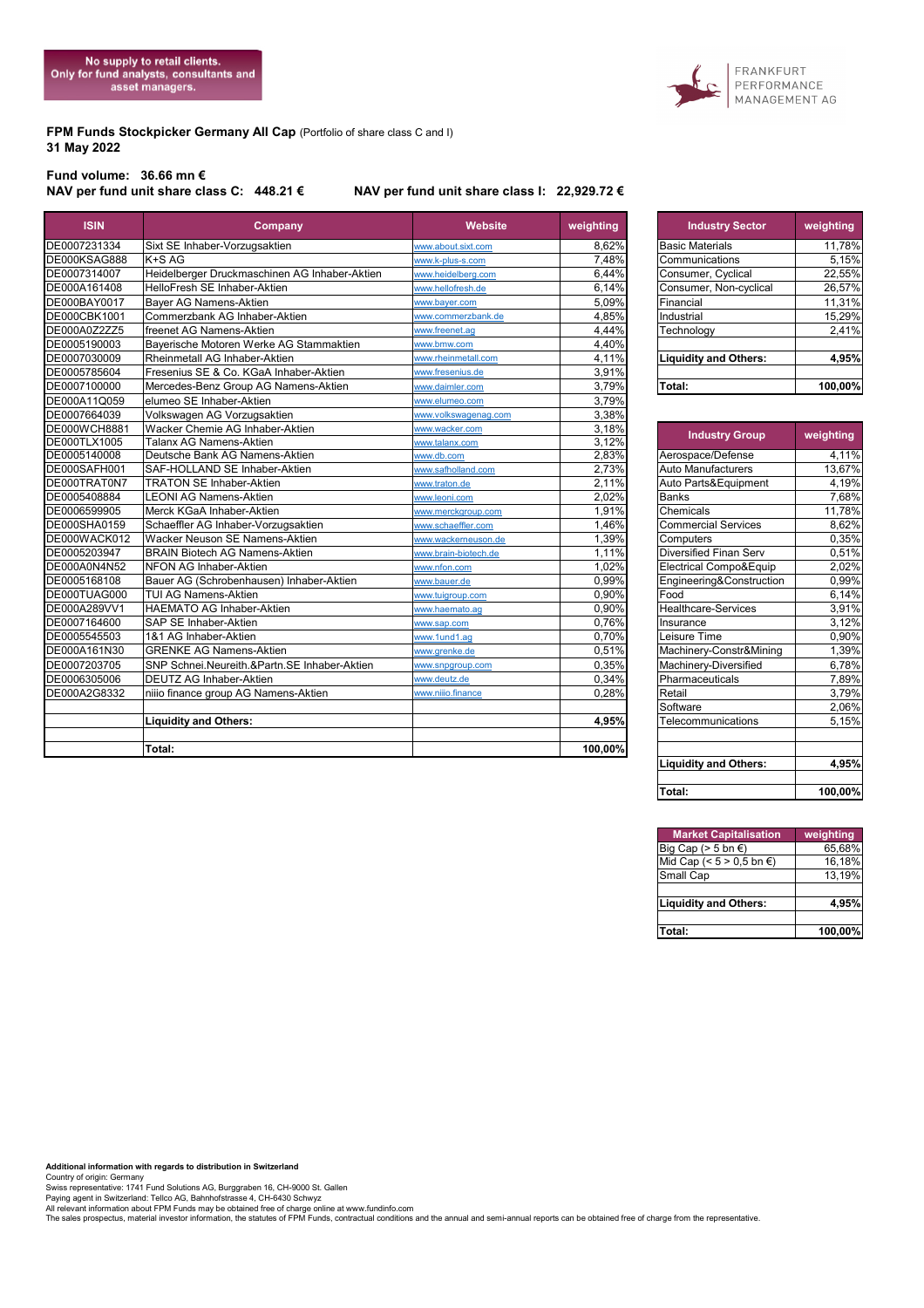**FPM Funds Stockpicker Germany All Cap (Portfolio of share class C and I) 31 May 2022**

## FRANKFURT PERFORMANCE<br>MANAGEMENT AG

## **Fund volume: 36.66 mn €**

## **NAV per fund unit share class C: 448.21 € NAV per fund unit share class I: 22,929.72 €**

| DE0007231334<br>Sixt SE Inhaber-Vorzugsaktien<br>8,62%<br><b>Basic Materials</b><br>www.about.sixt.com<br>K+S AG<br>DE000KSAG888<br>7,48%<br>www.k-plus-s.com<br>Communications<br>Heidelberger Druckmaschinen AG Inhaber-Aktien<br>DE0007314007<br>www.heidelberg.com<br>6,44%<br>Consumer, Cyclical<br>HelloFresh SE Inhaber-Aktien<br>6,14%<br>DE000A161408<br>www.hellofresh.de<br>Consumer, Non-cyclical<br>DE000BAY0017<br>Bayer AG Namens-Aktien<br>5,09%<br>Financial<br>www.bayer.com<br>DE000CBK1001<br>Commerzbank AG Inhaber-Aktien<br>4,85%<br>www.commerzbank.de<br>Industrial<br>freenet AG Namens-Aktien<br>DE000A0Z2ZZ5<br>www.freenet.ag<br>4,44%<br>Technology<br>Bayerische Motoren Werke AG Stammaktien<br>4,40%<br>DE0005190003<br>www.bmw.com<br>DE0007030009<br>Rheinmetall AG Inhaber-Aktien<br>4,11%<br>www.rheinmetall.com<br><b>Liquidity and Others:</b><br>DE0005785604<br>Fresenius SE & Co. KGaA Inhaber-Aktien<br>3,91%<br>www.fresenius.de<br>DE0007100000<br>3,79%<br>Mercedes-Benz Group AG Namens-Aktien<br>Total:<br>www.daimler.com<br>DE000A11Q059<br>elumeo SE Inhaber-Aktien<br>3,79%<br>www.elumeo.com<br>DE0007664039<br>Volkswagen AG Vorzugsaktien<br>3,38%<br>www.volkswagenag.com<br>DE000WCH8881<br>Wacker Chemie AG Inhaber-Aktien<br>3,18%<br>www.wacker.com<br><b>Industry Group</b> | 11,78%    |
|------------------------------------------------------------------------------------------------------------------------------------------------------------------------------------------------------------------------------------------------------------------------------------------------------------------------------------------------------------------------------------------------------------------------------------------------------------------------------------------------------------------------------------------------------------------------------------------------------------------------------------------------------------------------------------------------------------------------------------------------------------------------------------------------------------------------------------------------------------------------------------------------------------------------------------------------------------------------------------------------------------------------------------------------------------------------------------------------------------------------------------------------------------------------------------------------------------------------------------------------------------------------------------------------------------------------------------------|-----------|
|                                                                                                                                                                                                                                                                                                                                                                                                                                                                                                                                                                                                                                                                                                                                                                                                                                                                                                                                                                                                                                                                                                                                                                                                                                                                                                                                          |           |
|                                                                                                                                                                                                                                                                                                                                                                                                                                                                                                                                                                                                                                                                                                                                                                                                                                                                                                                                                                                                                                                                                                                                                                                                                                                                                                                                          | 5,15%     |
|                                                                                                                                                                                                                                                                                                                                                                                                                                                                                                                                                                                                                                                                                                                                                                                                                                                                                                                                                                                                                                                                                                                                                                                                                                                                                                                                          | 22,55%    |
|                                                                                                                                                                                                                                                                                                                                                                                                                                                                                                                                                                                                                                                                                                                                                                                                                                                                                                                                                                                                                                                                                                                                                                                                                                                                                                                                          | 26,57%    |
|                                                                                                                                                                                                                                                                                                                                                                                                                                                                                                                                                                                                                                                                                                                                                                                                                                                                                                                                                                                                                                                                                                                                                                                                                                                                                                                                          | 11,31%    |
|                                                                                                                                                                                                                                                                                                                                                                                                                                                                                                                                                                                                                                                                                                                                                                                                                                                                                                                                                                                                                                                                                                                                                                                                                                                                                                                                          | 15,29%    |
|                                                                                                                                                                                                                                                                                                                                                                                                                                                                                                                                                                                                                                                                                                                                                                                                                                                                                                                                                                                                                                                                                                                                                                                                                                                                                                                                          | 2,41%     |
|                                                                                                                                                                                                                                                                                                                                                                                                                                                                                                                                                                                                                                                                                                                                                                                                                                                                                                                                                                                                                                                                                                                                                                                                                                                                                                                                          |           |
|                                                                                                                                                                                                                                                                                                                                                                                                                                                                                                                                                                                                                                                                                                                                                                                                                                                                                                                                                                                                                                                                                                                                                                                                                                                                                                                                          | 4,95%     |
|                                                                                                                                                                                                                                                                                                                                                                                                                                                                                                                                                                                                                                                                                                                                                                                                                                                                                                                                                                                                                                                                                                                                                                                                                                                                                                                                          |           |
|                                                                                                                                                                                                                                                                                                                                                                                                                                                                                                                                                                                                                                                                                                                                                                                                                                                                                                                                                                                                                                                                                                                                                                                                                                                                                                                                          | 100,00%   |
|                                                                                                                                                                                                                                                                                                                                                                                                                                                                                                                                                                                                                                                                                                                                                                                                                                                                                                                                                                                                                                                                                                                                                                                                                                                                                                                                          |           |
|                                                                                                                                                                                                                                                                                                                                                                                                                                                                                                                                                                                                                                                                                                                                                                                                                                                                                                                                                                                                                                                                                                                                                                                                                                                                                                                                          |           |
|                                                                                                                                                                                                                                                                                                                                                                                                                                                                                                                                                                                                                                                                                                                                                                                                                                                                                                                                                                                                                                                                                                                                                                                                                                                                                                                                          |           |
| <b>Talanx AG Namens-Aktien</b><br>3,12%<br>DE000TLX1005<br>www.talanx.com                                                                                                                                                                                                                                                                                                                                                                                                                                                                                                                                                                                                                                                                                                                                                                                                                                                                                                                                                                                                                                                                                                                                                                                                                                                                | weighting |
| 2,83%<br>DE0005140008<br>Deutsche Bank AG Namens-Aktien<br>Aerospace/Defense<br>www.db.com                                                                                                                                                                                                                                                                                                                                                                                                                                                                                                                                                                                                                                                                                                                                                                                                                                                                                                                                                                                                                                                                                                                                                                                                                                               | 4,11%     |
| 2,73%<br><b>Auto Manufacturers</b><br>DE000SAFH001<br>SAF-HOLLAND SE Inhaber-Aktien<br>www.safholland.com                                                                                                                                                                                                                                                                                                                                                                                                                                                                                                                                                                                                                                                                                                                                                                                                                                                                                                                                                                                                                                                                                                                                                                                                                                | 13,67%    |
| 2,11%<br>DE000TRAT0N7<br><b>TRATON SE Inhaber-Aktien</b><br>Auto Parts&Equipment<br>www.traton.de                                                                                                                                                                                                                                                                                                                                                                                                                                                                                                                                                                                                                                                                                                                                                                                                                                                                                                                                                                                                                                                                                                                                                                                                                                        | 4,19%     |
| DE0005408884<br><b>LEONI AG Namens-Aktien</b><br>2.02%<br><b>Banks</b><br>www.leoni.com                                                                                                                                                                                                                                                                                                                                                                                                                                                                                                                                                                                                                                                                                                                                                                                                                                                                                                                                                                                                                                                                                                                                                                                                                                                  | 7,68%     |
| DE0006599905<br>Merck KGaA Inhaber-Aktien<br>1,91%<br>Chemicals<br>www.merckgroup.com                                                                                                                                                                                                                                                                                                                                                                                                                                                                                                                                                                                                                                                                                                                                                                                                                                                                                                                                                                                                                                                                                                                                                                                                                                                    | 11,78%    |
| DE000SHA0159<br>Schaeffler AG Inhaber-Vorzugsaktien<br>1,46%<br><b>Commercial Services</b><br>www.schaeffler.com                                                                                                                                                                                                                                                                                                                                                                                                                                                                                                                                                                                                                                                                                                                                                                                                                                                                                                                                                                                                                                                                                                                                                                                                                         | 8,62%     |
| DE000WACK012<br>Wacker Neuson SE Namens-Aktien<br>1,39%<br>Computers<br>www.wackerneuson.de                                                                                                                                                                                                                                                                                                                                                                                                                                                                                                                                                                                                                                                                                                                                                                                                                                                                                                                                                                                                                                                                                                                                                                                                                                              | 0.35%     |
| <b>BRAIN Biotech AG Namens-Aktien</b><br>Diversified Finan Serv<br>DE0005203947<br>1.11%<br>www.brain-biotech.de                                                                                                                                                                                                                                                                                                                                                                                                                                                                                                                                                                                                                                                                                                                                                                                                                                                                                                                                                                                                                                                                                                                                                                                                                         | 0.51%     |
| DE000A0N4N52<br>1.02%<br>NFON AG Inhaber-Aktien<br>Electrical Compo&Equip<br>www.nfon.com                                                                                                                                                                                                                                                                                                                                                                                                                                                                                                                                                                                                                                                                                                                                                                                                                                                                                                                                                                                                                                                                                                                                                                                                                                                | 2.02%     |
| DE0005168108<br>Bauer AG (Schrobenhausen) Inhaber-Aktien<br>0.99%<br>Engineering&Construction<br>www.bauer.de                                                                                                                                                                                                                                                                                                                                                                                                                                                                                                                                                                                                                                                                                                                                                                                                                                                                                                                                                                                                                                                                                                                                                                                                                            | 0.99%     |
| <b>TUI AG Namens-Aktien</b><br>$0,90\%$<br>Food<br>DE000TUAG000<br>www.tuigroup.com                                                                                                                                                                                                                                                                                                                                                                                                                                                                                                                                                                                                                                                                                                                                                                                                                                                                                                                                                                                                                                                                                                                                                                                                                                                      | 6,14%     |
| 0.90%<br>Healthcare-Services<br>DE000A289VV1<br><b>HAEMATO AG Inhaber-Aktien</b><br>www.haemato.ag                                                                                                                                                                                                                                                                                                                                                                                                                                                                                                                                                                                                                                                                                                                                                                                                                                                                                                                                                                                                                                                                                                                                                                                                                                       | 3.91%     |
| 0,76%<br>DE0007164600<br>SAP SE Inhaber-Aktien<br>Insurance<br>www.sap.com                                                                                                                                                                                                                                                                                                                                                                                                                                                                                                                                                                                                                                                                                                                                                                                                                                                                                                                                                                                                                                                                                                                                                                                                                                                               | 3,12%     |
| 0,70%<br>Leisure Time<br>DE0005545503<br>1&1 AG Inhaber-Aktien<br>www.1und1.ag                                                                                                                                                                                                                                                                                                                                                                                                                                                                                                                                                                                                                                                                                                                                                                                                                                                                                                                                                                                                                                                                                                                                                                                                                                                           | 0,90%     |
| Machinery-Constr&Mining<br>DE000A161N30<br><b>GRENKE AG Namens-Aktien</b><br>0.51%<br>www.grenke.de                                                                                                                                                                                                                                                                                                                                                                                                                                                                                                                                                                                                                                                                                                                                                                                                                                                                                                                                                                                                                                                                                                                                                                                                                                      | 1,39%     |
| DE0007203705<br>SNP Schnei.Neureith.&Partn.SE Inhaber-Aktien<br>0,35%<br>Machinery-Diversified<br>www.snpgroup.com                                                                                                                                                                                                                                                                                                                                                                                                                                                                                                                                                                                                                                                                                                                                                                                                                                                                                                                                                                                                                                                                                                                                                                                                                       | 6,78%     |
| DE0006305006<br><b>DEUTZ AG Inhaber-Aktien</b><br>0,34%<br>Pharmaceuticals<br>www.deutz.de                                                                                                                                                                                                                                                                                                                                                                                                                                                                                                                                                                                                                                                                                                                                                                                                                                                                                                                                                                                                                                                                                                                                                                                                                                               | 7,89%     |
| DE000A2G8332<br>0,28%<br>Retail<br>niiio finance group AG Namens-Aktien<br>www.niiio.finance                                                                                                                                                                                                                                                                                                                                                                                                                                                                                                                                                                                                                                                                                                                                                                                                                                                                                                                                                                                                                                                                                                                                                                                                                                             | 3,79%     |
| Software                                                                                                                                                                                                                                                                                                                                                                                                                                                                                                                                                                                                                                                                                                                                                                                                                                                                                                                                                                                                                                                                                                                                                                                                                                                                                                                                 | 2.06%     |
| <b>Liquidity and Others:</b><br>4,95%<br>Telecommunications                                                                                                                                                                                                                                                                                                                                                                                                                                                                                                                                                                                                                                                                                                                                                                                                                                                                                                                                                                                                                                                                                                                                                                                                                                                                              | 5,15%     |
|                                                                                                                                                                                                                                                                                                                                                                                                                                                                                                                                                                                                                                                                                                                                                                                                                                                                                                                                                                                                                                                                                                                                                                                                                                                                                                                                          |           |
| Total:<br>100,00%                                                                                                                                                                                                                                                                                                                                                                                                                                                                                                                                                                                                                                                                                                                                                                                                                                                                                                                                                                                                                                                                                                                                                                                                                                                                                                                        |           |

| <b>Industry Sector</b>       | weighting |
|------------------------------|-----------|
| <b>Basic Materials</b>       | 11,78%    |
| Communications               | 5,15%     |
| Consumer, Cyclical           | 22,55%    |
| Consumer, Non-cyclical       | 26,57%    |
| Financial                    | 11,31%    |
| Industrial                   | 15,29%    |
| Technology                   | 2,41%     |
|                              |           |
| <b>Liquidity and Others:</b> | 4,95%     |
|                              |           |
| Total:                       | 100.00%   |

| <b>Industry Group</b>        | weighting |
|------------------------------|-----------|
| Aerospace/Defense            | 4,11%     |
| Auto Manufacturers           | 13,67%    |
| Auto Parts&Equipment         | 4,19%     |
| <b>Banks</b>                 | 7,68%     |
| Chemicals                    | 11,78%    |
| <b>Commercial Services</b>   | 8,62%     |
| Computers                    | 0,35%     |
| Diversified Finan Serv       | 0,51%     |
| Electrical Compo&Equip       | 2,02%     |
| Engineering&Construction     | 0.99%     |
| Food                         | 6,14%     |
| Healthcare-Services          | 3,91%     |
| Insurance                    | 3,12%     |
| Leisure Time                 | 0,90%     |
| Machinery-Constr&Mining      | 1,39%     |
| Machinery-Diversified        | 6,78%     |
| Pharmaceuticals              | 7,89%     |
| Retail                       | 3,79%     |
| Software                     | 2,06%     |
| Telecommunications           | 5,15%     |
|                              |           |
|                              |           |
| <b>Liquidity and Others:</b> | 4,95%     |
|                              |           |
| Total:                       | 100,00%   |

| <b>Market Capitalisation</b> | weighting |
|------------------------------|-----------|
| Big Cap ( $> 5$ bn $\in$ )   | 65,68%    |
| Mid Cap (< $5 > 0,5$ bn €)   | 16,18%    |
| Small Cap                    | 13,19%    |
|                              |           |
| <b>Liquidity and Others:</b> | 4,95%     |
|                              |           |
| Total:                       | 100,00%   |

Additional information with regards to distribution in Switzerland<br>Country of origin: Germany<br>Swiss representative: 1741 Fund Solutions AG, Burggraben 16, CH-9000 St. Gallen<br>Alvietorant information about FPM Funds may be o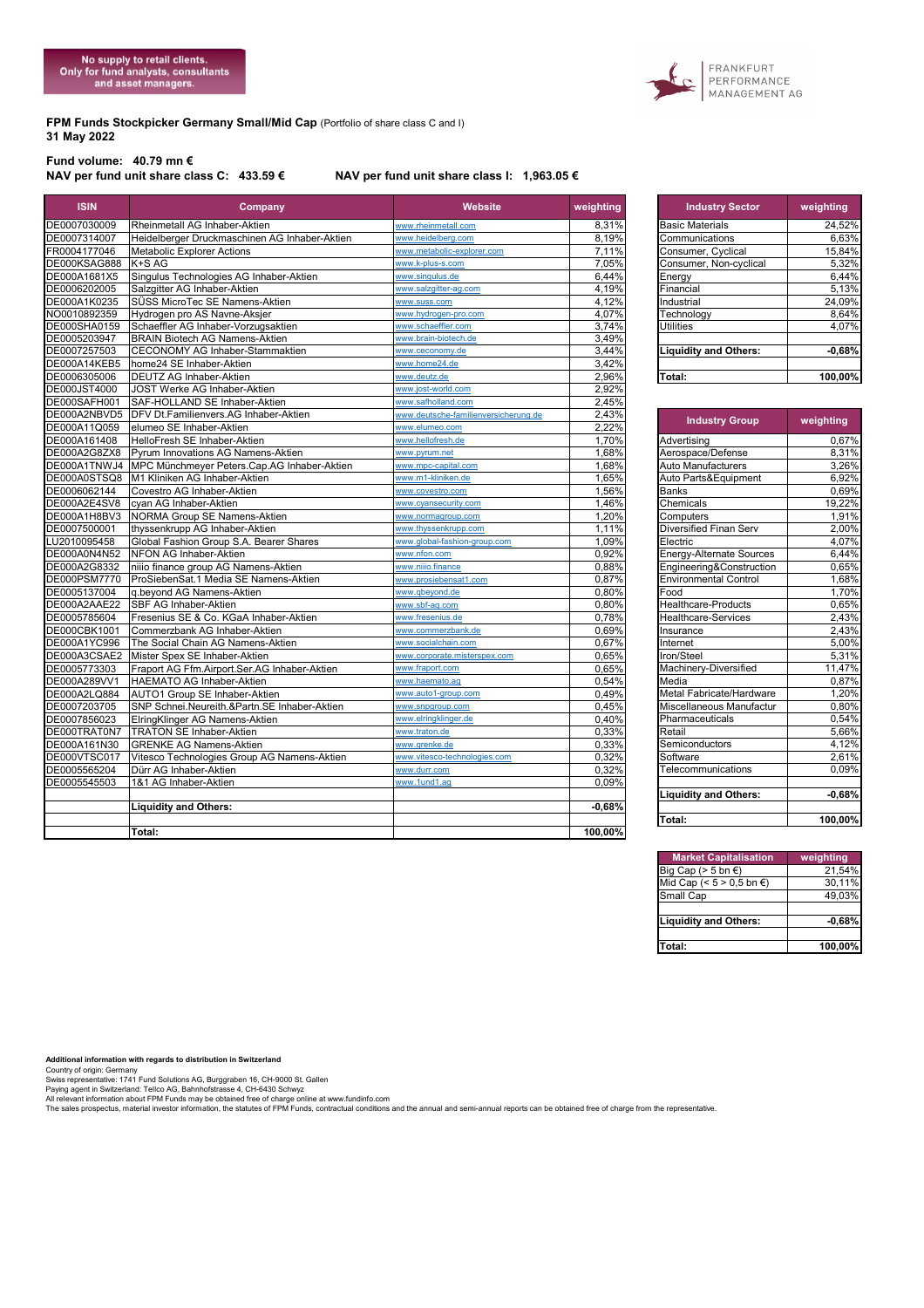FRANKFURT<br>PERFORMANCE<br>MANAGEMENT AG

#### **FPM Funds Stockpicker Germany Small/Mid Cap** (Portfolio of share class C and I) **31 May 2022**

# **Fund volume: 40.79 mn €**

### NAV per fund unit share class I: 1,963.05 €

| <b>ISIN</b>         | Company                                                  | Website                              | weighting      | <b>Industry Sector</b>          | weighting |
|---------------------|----------------------------------------------------------|--------------------------------------|----------------|---------------------------------|-----------|
| DE0007030009        | Rheinmetall AG Inhaber-Aktien                            | www.rheinmetall.com                  | 8,31%          | <b>Basic Materials</b>          | 24,52%    |
| DE0007314007        | Heidelberger Druckmaschinen AG Inhaber-Aktien            | www.heidelberg.com                   | 8,19%          | Communications                  | 6.63%     |
| FR0004177046        | <b>Metabolic Explorer Actions</b>                        | www.metabolic-explorer.com           | 7,11%          | Consumer, Cyclical              | 15,84%    |
| DE000KSAG888        | K+S AG                                                   | www.k-plus-s.com                     | 7,05%          | Consumer, Non-cyclical          | 5,32%     |
| DE000A1681X5        | Singulus Technologies AG Inhaber-Aktien                  | www.singulus.de                      | 6,44%          | Energy                          | 6,44%     |
| DE0006202005        | Salzgitter AG Inhaber-Aktien                             | www.salzgitter-ag.com                | 4,19%          | Financial                       | 5,13%     |
| DE000A1K0235        | SÜSS MicroTec SE Namens-Aktien                           | www.suss.com                         | 4,12%          | Industrial                      | 24,09%    |
| NO0010892359        | Hydrogen pro AS Navne-Aksjer                             | www.hydrogen-pro.com                 | 4,07%          | Technology                      | 8,64%     |
| DE000SHA0159        | Schaeffler AG Inhaber-Vorzugsaktien                      | www.schaeffler.com                   | 3,74%          | <b>Utilities</b>                | 4,07%     |
| DE0005203947        | <b>BRAIN Biotech AG Namens-Aktien</b>                    | www.brain-biotech.de                 | 3.49%          |                                 |           |
| DE0007257503        | <b>CECONOMY AG Inhaber-Stammaktien</b>                   | www.ceconomy.de                      | 3,44%          | <b>Liquidity and Others:</b>    | $-0.68%$  |
| DE000A14KEB5        | home24 SE Inhaber-Aktien                                 | www.home24.de                        | 3,42%          |                                 |           |
| DE0006305006        | <b>DEUTZ AG Inhaber-Aktien</b>                           | www.deutz.de                         | 2,96%          | Total:                          | 100,00%   |
| <b>DE000JST4000</b> | JOST Werke AG Inhaber-Aktien                             | www.jost-world.com                   | 2.92%          |                                 |           |
| DE000SAFH001        | SAF-HOLLAND SE Inhaber-Aktien                            | www.safholland.com                   | 2,45%          |                                 |           |
| DE000A2NBVD5        | DFV Dt.Familienvers.AG Inhaber-Aktien                    | www.deutsche-familienversicherung.de | 2,43%          |                                 |           |
| DE000A11Q059        | elumeo SE Inhaber-Aktien                                 | www.elumeo.com                       | 2,22%          | <b>Industry Group</b>           | weighting |
| DE000A161408        | HelloFresh SE Inhaber-Aktien                             | www.hellofresh.de                    | 1,70%          | Advertising                     | 0,67%     |
| DE000A2G8ZX8        | Pyrum Innovations AG Namens-Aktien                       | www.pyrum.net                        | 1,68%          | Aerospace/Defense               | 8,31%     |
|                     | DE000A1TNWJ4 MPC Münchmeyer Peters.Cap.AG Inhaber-Aktien | www.mpc-capital.com                  | 1,68%          | Auto Manufacturers              | 3,26%     |
|                     | DE000A0STSQ8   M1 Kliniken AG Inhaber-Aktien             | www.m1-kliniken.de                   | 1,65%          | Auto Parts&Equipment            | 6,92%     |
| DE0006062144        | Covestro AG Inhaber-Aktien                               | www.covestro.com                     | 1,56%          | <b>Banks</b>                    | 0,69%     |
| DE000A2E4SV8        | cyan AG Inhaber-Aktien                                   | www.cyansecurity.com                 | 1,46%          | Chemicals                       | 19,22%    |
| DE000A1H8BV3        | NORMA Group SE Namens-Aktien                             | www.normagroup.com                   | 1,20%          | Computers                       | 1,91%     |
| DE0007500001        | thyssenkrupp AG Inhaber-Aktien                           | www.thyssenkrupp.com                 | 1.11%          | Diversified Finan Serv          | 2.00%     |
| LU2010095458        | Global Fashion Group S.A. Bearer Shares                  | www.global-fashion-group.com         | 1,09%          | Electric                        | 4,07%     |
| DE000A0N4N52        | NFON AG Inhaber-Aktien                                   | www.nfon.com                         | 0.92%          | <b>Energy-Alternate Sources</b> | 6,44%     |
| DE000A2G8332        | niiio finance group AG Namens-Aktien                     | www.niiio.finance                    | 0,88%          | Engineering&Construction        | 0,65%     |
| DE000PSM7770        | ProSiebenSat.1 Media SE Namens-Aktien                    | www.prosiebensat1.com                | 0.87%          | <b>Environmental Control</b>    | 1.68%     |
| DE0005137004        | g.beyond AG Namens-Aktien                                | www.abevond.de                       | 0,80%          | Food                            | 1,70%     |
| DE000A2AAE22        | <b>SBF AG Inhaber-Aktien</b>                             | www.sbf-ag.com                       | 0.80%          | <b>Healthcare-Products</b>      | 0.65%     |
| DE0005785604        | Fresenius SE & Co. KGaA Inhaber-Aktien                   | www.fresenius.de                     | 0,78%          | <b>Healthcare-Services</b>      | 2,43%     |
| DE000CBK1001        | Commerzbank AG Inhaber-Aktien                            | www.commerzbank.de                   | 0.69%          | Insurance                       | 2,43%     |
| DE000A1YC996        | The Social Chain AG Namens-Aktien                        | www.socialchain.com                  | 0,67%          | Internet                        | 5,00%     |
| DE000A3CSAE2        | Mister Spex SE Inhaber-Aktien                            | www.corporate.misterspex.com         | 0,65%          | Iron/Steel                      | 5,31%     |
| DE0005773303        | Fraport AG Ffm.Airport.Ser.AG Inhaber-Aktien             | www.fraport.com                      | 0,65%          | Machinery-Diversified           | 11,47%    |
| DE000A289VV1        | HAEMATO AG Inhaber-Aktien                                | www.haemato.ag                       | 0.54%          | $Me$ <sub>dia</sub>             | 0.87%     |
| DE000A2LQ884        | AUTO1 Group SE Inhaber-Aktien                            | www.auto1-group.com                  | 0,49%          | Metal Fabricate/Hardware        | 1,20%     |
| DE0007203705        | SNP Schnei.Neureith.&Partn.SE Inhaber-Aktien             | www.snpgroup.com                     | 0.45%          | Miscellaneous Manufactur        | 0,80%     |
| DE0007856023        | ElringKlinger AG Namens-Aktien                           | www.elringklinger.de                 | 0,40%          | Pharmaceuticals                 | 0,54%     |
| DE000TRAT0N7        | <b>TRATON SE Inhaber-Aktien</b>                          | www.traton.de                        | 0,33%          | Retail                          | 5,66%     |
| DE000A161N30        | <b>GRENKE AG Namens-Aktien</b>                           | www.grenke.de                        | 0,33%          | Semiconductors                  | 4,12%     |
|                     |                                                          | www.vitesco-technologies.com         |                | Software                        |           |
| DE000VTSC017        | Vitesco Technologies Group AG Namens-Aktien              |                                      | 0,32%          |                                 | 2,61%     |
| DE0005565204        | Dürr AG Inhaber-Aktien<br>1&1 AG Inhaber-Aktien          | www.durr.com<br>www.1und1.ag         | 0,32%<br>0.09% | Telecommunications              | 0,09%     |
| DE0005545503        |                                                          |                                      |                | <b>Liquidity and Others:</b>    | $-0,68%$  |
|                     |                                                          |                                      |                |                                 |           |
|                     | <b>Liquidity and Others:</b>                             |                                      | $-0.68%$       |                                 |           |
|                     |                                                          |                                      |                | Total:                          | 100,00%   |
|                     | Total:                                                   |                                      | 100,00%        |                                 |           |

| <b>Industry Sector</b>       | weighting |
|------------------------------|-----------|
| <b>Basic Materials</b>       | 24.52%    |
| Communications               | 6.63%     |
| Consumer, Cyclical           | 15.84%    |
| Consumer, Non-cyclical       | 5,32%     |
| Energy                       | 6,44%     |
| Financial                    | 5,13%     |
| Industrial                   | 24,09%    |
| Technology                   | 8,64%     |
| <b>Utilities</b>             | 4.07%     |
|                              |           |
| <b>Liquidity and Others:</b> | $-0.68%$  |
| Total:                       | 100.00%   |

| <b>Industry Group</b>        | weighting |
|------------------------------|-----------|
| Advertising                  | 0,67%     |
| Aerospace/Defense            | 8,31%     |
| <b>Auto Manufacturers</b>    | 3,26%     |
| Auto Parts&Equipment         | 6,92%     |
| <b>Banks</b>                 | 0,69%     |
| Chemicals                    | 19,22%    |
| Computers                    | 1,91%     |
| Diversified Finan Serv       | 2,00%     |
| Electric                     | 4,07%     |
| Energy-Alternate Sources     | 6,44%     |
| Engineering&Construction     | 0,65%     |
| <b>Environmental Control</b> | 1,68%     |
| Food                         | 1,70%     |
| Healthcare-Products          | 0,65%     |
| <b>Healthcare-Services</b>   | 2,43%     |
| Insurance                    | 2,43%     |
| Internet                     | 5,00%     |
| Iron/Steel                   | 5,31%     |
| Machinery-Diversified        | 11,47%    |
| Media                        | 0,87%     |
| Metal Fabricate/Hardware     | 1,20%     |
| Miscellaneous Manufactur     | 0,80%     |
| Pharmaceuticals              | 0,54%     |
| Retail                       | 5,66%     |
| Semiconductors               | 4,12%     |
| Software                     | 2,61%     |
| Telecommunications           | $0,09\%$  |
| <b>Liquidity and Others:</b> | $-0,68%$  |
| <b>Total:</b>                | 100,00%   |

| <b>Market Capitalisation</b> | weighting |
|------------------------------|-----------|
| Big Cap ( $> 5$ bn $\in$ )   | 21.54%    |
| Mid Cap (< $5 > 0,5$ bn €)   | 30,11%    |
| Small Cap                    | 49.03%    |
|                              |           |
| <b>Liquidity and Others:</b> | $-0.68%$  |
|                              |           |
| Total:                       | 100,00%   |

Additional information with regards to distribution in Switzerland<br>County of origin: Germany<br>Swiss representative: 1741 Fund Solutions AG, Burggraben 16, CH-9000 St. Gallen<br>All relevant information about FPM Funds may be o